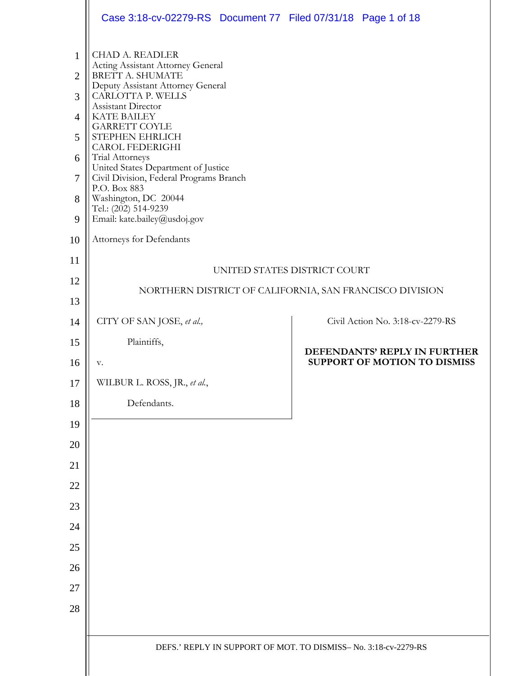|                                                                         | Case 3:18-cv-02279-RS  Document 77  Filed 07/31/18  Page 1 of 18                                                                                                                                                                                                                                                                                                                                                                                                                            |                                                                |
|-------------------------------------------------------------------------|---------------------------------------------------------------------------------------------------------------------------------------------------------------------------------------------------------------------------------------------------------------------------------------------------------------------------------------------------------------------------------------------------------------------------------------------------------------------------------------------|----------------------------------------------------------------|
| $\mathbf{1}$<br>$\overline{2}$<br>3<br>4<br>5<br>6<br>7<br>8<br>9<br>10 | <b>CHAD A. READLER</b><br>Acting Assistant Attorney General<br>BRETT A. SHUMATE<br>Deputy Assistant Attorney General<br>CARLOTTA P. WELLS<br>Assistant Director<br><b>KATE BAILEY</b><br><b>GARRETT COYLE</b><br>STEPHEN EHRLICH<br><b>CAROL FEDERIGHI</b><br>Trial Attorneys<br>United States Department of Justice<br>Civil Division, Federal Programs Branch<br>P.O. Box 883<br>Washington, DC 20044<br>Tel.: (202) 514-9239<br>Email: kate.bailey@usdoj.gov<br>Attorneys for Defendants |                                                                |
| 11                                                                      |                                                                                                                                                                                                                                                                                                                                                                                                                                                                                             |                                                                |
| 12                                                                      |                                                                                                                                                                                                                                                                                                                                                                                                                                                                                             | UNITED STATES DISTRICT COURT                                   |
| 13                                                                      |                                                                                                                                                                                                                                                                                                                                                                                                                                                                                             | NORTHERN DISTRICT OF CALIFORNIA, SAN FRANCISCO DIVISION        |
| 14                                                                      | CITY OF SAN JOSE, et al.,                                                                                                                                                                                                                                                                                                                                                                                                                                                                   | Civil Action No. 3:18-cv-2279-RS                               |
| 15                                                                      | Plaintiffs,                                                                                                                                                                                                                                                                                                                                                                                                                                                                                 |                                                                |
|                                                                         |                                                                                                                                                                                                                                                                                                                                                                                                                                                                                             | DEFENDANTS' REPLY IN FURTHER                                   |
| 16                                                                      | v.                                                                                                                                                                                                                                                                                                                                                                                                                                                                                          | SUPPORT OF MOTION TO DISMISS                                   |
| 17                                                                      | WILBUR L. ROSS, JR., et al.,                                                                                                                                                                                                                                                                                                                                                                                                                                                                |                                                                |
| 18                                                                      | Defendants.                                                                                                                                                                                                                                                                                                                                                                                                                                                                                 |                                                                |
| 19                                                                      |                                                                                                                                                                                                                                                                                                                                                                                                                                                                                             |                                                                |
| 20                                                                      |                                                                                                                                                                                                                                                                                                                                                                                                                                                                                             |                                                                |
| 21                                                                      |                                                                                                                                                                                                                                                                                                                                                                                                                                                                                             |                                                                |
| 22                                                                      |                                                                                                                                                                                                                                                                                                                                                                                                                                                                                             |                                                                |
| 23                                                                      |                                                                                                                                                                                                                                                                                                                                                                                                                                                                                             |                                                                |
| 24                                                                      |                                                                                                                                                                                                                                                                                                                                                                                                                                                                                             |                                                                |
| 25                                                                      |                                                                                                                                                                                                                                                                                                                                                                                                                                                                                             |                                                                |
| 26                                                                      |                                                                                                                                                                                                                                                                                                                                                                                                                                                                                             |                                                                |
| 27                                                                      |                                                                                                                                                                                                                                                                                                                                                                                                                                                                                             |                                                                |
| 28                                                                      |                                                                                                                                                                                                                                                                                                                                                                                                                                                                                             |                                                                |
|                                                                         |                                                                                                                                                                                                                                                                                                                                                                                                                                                                                             | DEFS.' REPLY IN SUPPORT OF MOT. TO DISMISS-No. 3:18-cv-2279-RS |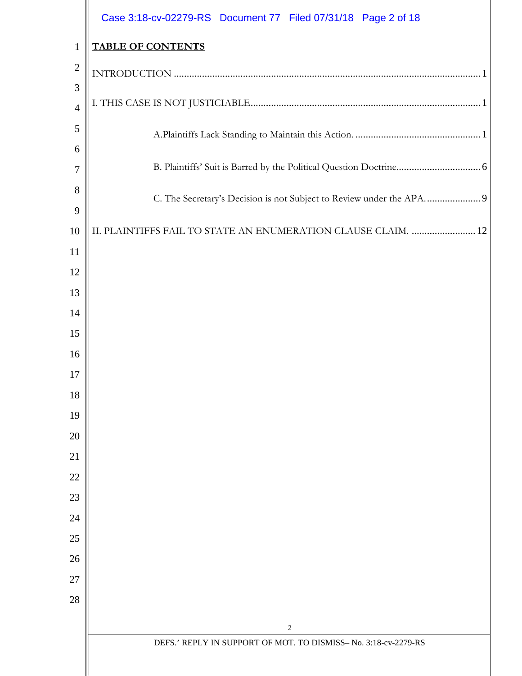|                     | Case 3:18-cv-02279-RS Document 77 Filed 07/31/18 Page 2 of 18   |
|---------------------|-----------------------------------------------------------------|
| $\mathbf{1}$        | <b>TABLE OF CONTENTS</b>                                        |
| $\overline{2}$      |                                                                 |
| 3                   |                                                                 |
| $\overline{4}$      |                                                                 |
| 5                   |                                                                 |
| 6                   |                                                                 |
| $\overline{7}$      |                                                                 |
| 8                   |                                                                 |
| 9                   |                                                                 |
| 10<br><sup>11</sup> | II. PLAINTIFFS FAIL TO STATE AN ENUMERATION CLAUSE CLAIM.  12   |
| 12                  |                                                                 |
| 13                  |                                                                 |
| 14                  |                                                                 |
| 15                  |                                                                 |
| 16                  |                                                                 |
| 17                  |                                                                 |
| 18                  |                                                                 |
| 19                  |                                                                 |
| 20                  |                                                                 |
| 21                  |                                                                 |
| 22                  |                                                                 |
| 23                  |                                                                 |
| 24                  |                                                                 |
| 25                  |                                                                 |
| 26                  |                                                                 |
| 27                  |                                                                 |
| 28                  |                                                                 |
|                     | 2                                                               |
|                     | DEFS.' REPLY IN SUPPORT OF MOT. TO DISMISS- No. 3:18-cv-2279-RS |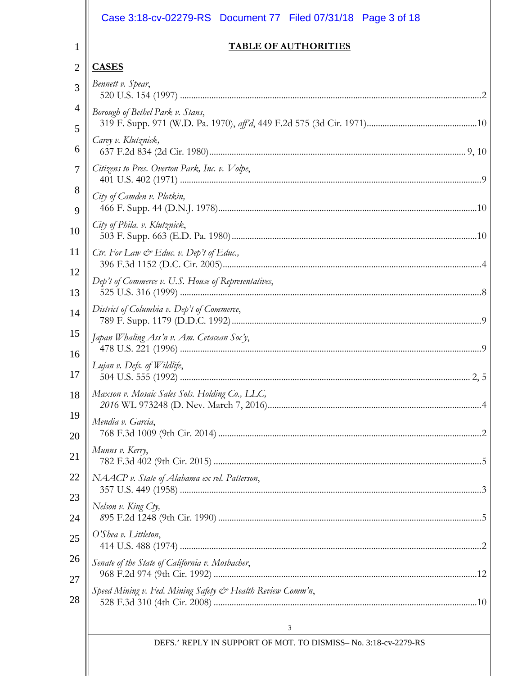|                     | Case 3:18-cv-02279-RS Document 77 Filed 07/31/18 Page 3 of 18  |
|---------------------|----------------------------------------------------------------|
| 1                   | <b>TABLE OF AUTHORITIES</b>                                    |
| $\overline{2}$      | <b>CASES</b>                                                   |
| 3                   | Bennett v. Spear,                                              |
| $\overline{4}$<br>5 | Borough of Bethel Park v. Stans,                               |
| 6                   | Carey v. Klutznick,                                            |
| 7                   | Citizens to Pres. Overton Park, Inc. v. Volpe,                 |
| 8<br>9              | City of Camden v. Plotkin,                                     |
| 10                  | City of Phila. v. Klutznick,                                   |
| 11                  | Ctr. For Law $\mathcal{C}$ Educ. v. Dep't of Educ.,            |
| 12<br>13            | Dep't of Commerce v. U.S. House of Representatives,            |
| 14                  | District of Columbia v. Dep't of Commerce,                     |
| 15<br>16            | Japan Whaling Ass'n v. Am. Cetacean Soc'y,                     |
| 17                  | Lujan v. Defs. of Wildlife,                                    |
| 18                  | Maxson v. Mosaic Sales Sols. Holding Co., LLC,                 |
| 19<br>20            | Mendia v. Garcia,                                              |
| 21                  | Munns v. Kerry,                                                |
| 22                  | NAACP v. State of Alabama ex rel. Patterson,                   |
| 23<br>24            | Nelson v. King Cty,                                            |
| 25                  | O'Shea v. Littleton,                                           |
| 26<br>27            | Senate of the State of California v. Mosbacher,                |
| 28                  | Speed Mining v. Fed. Mining Safety & Health Review Comm'n,     |
|                     | 3                                                              |
|                     | DEFS.' REPLY IN SUPPORT OF MOT. TO DISMISS-No. 3:18-cv-2279-RS |
|                     |                                                                |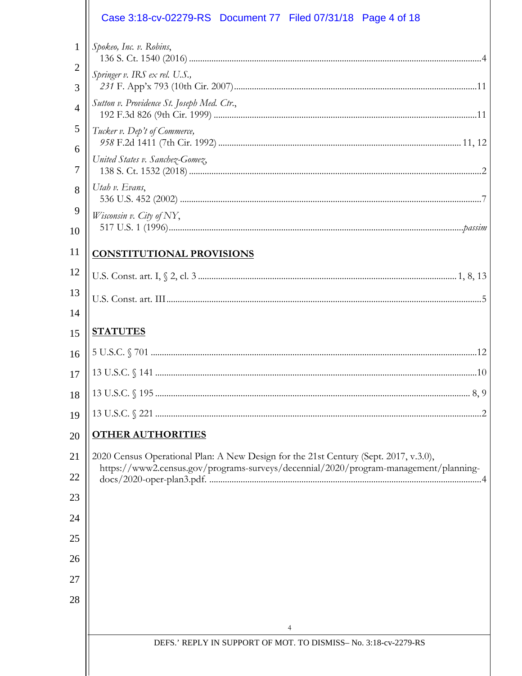|                     | Case 3:18-cv-02279-RS Document 77 Filed 07/31/18 Page 4 of 18                        |
|---------------------|--------------------------------------------------------------------------------------|
| 1                   | Spokeo, Inc. v. Robins,                                                              |
| $\overline{2}$<br>3 | Springer v. IRS ex rel. U.S.,                                                        |
| $\overline{4}$      | Sutton v. Providence St. Joseph Med. Ctr.,                                           |
| 5                   | Tucker v. Dep't of Commerce,                                                         |
| 6                   | United States v. Sanchez-Gomez,                                                      |
| 7                   | Utah v. Evans,                                                                       |
| 8                   |                                                                                      |
| 9<br>10             | Wisconsin v. City of NY,                                                             |
| 11                  | <b>CONSTITUTIONAL PROVISIONS</b>                                                     |
| 12                  |                                                                                      |
| 13                  |                                                                                      |
| 14                  |                                                                                      |
| 15                  | <b>STATUTES</b>                                                                      |
| 16                  |                                                                                      |
| 17                  |                                                                                      |
| 18                  |                                                                                      |
| 19                  |                                                                                      |
| 20                  | <b>OTHER AUTHORITIES</b>                                                             |
| 21                  | 2020 Census Operational Plan: A New Design for the 21st Century (Sept. 2017, v.3.0), |
| 22                  | https://www2.census.gov/programs-surveys/decennial/2020/program-management/planning- |
| 23                  |                                                                                      |
| 24                  |                                                                                      |
| 25                  |                                                                                      |
| 26                  |                                                                                      |
| 27                  |                                                                                      |
| 28                  |                                                                                      |
|                     | 4                                                                                    |
|                     | DEFS.' REPLY IN SUPPORT OF MOT. TO DISMISS- No. 3:18-cv-2279-RS                      |
|                     |                                                                                      |
|                     |                                                                                      |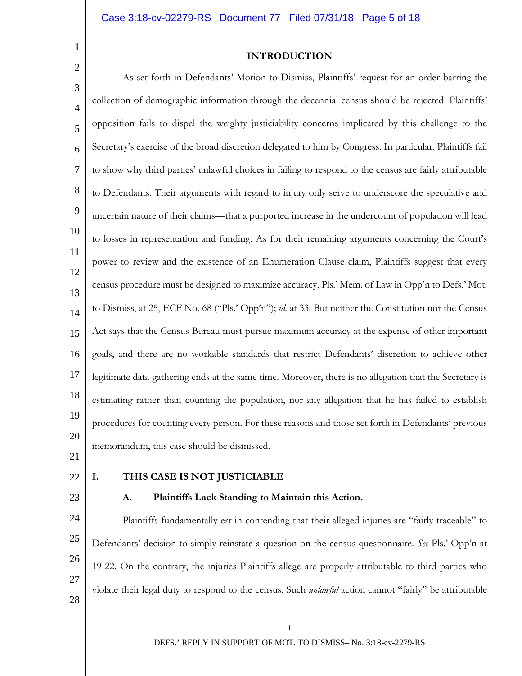1 2

## **INTRODUCTION**

3 4 5 6 7 8 9 10 11 12 13 14 15 16 17 18 19 20 21 As set forth in Defendants' Motion to Dismiss, Plaintiffs' request for an order barring the collection of demographic information through the decennial census should be rejected. Plaintiffs' opposition fails to dispel the weighty justiciability concerns implicated by this challenge to the Secretary's exercise of the broad discretion delegated to him by Congress. In particular, Plaintiffs fail to show why third parties' unlawful choices in failing to respond to the census are fairly attributable to Defendants. Their arguments with regard to injury only serve to underscore the speculative and uncertain nature of their claims—that a purported increase in the undercount of population will lead to losses in representation and funding. As for their remaining arguments concerning the Court's power to review and the existence of an Enumeration Clause claim, Plaintiffs suggest that every census procedure must be designed to maximize accuracy. Pls.' Mem. of Law in Opp'n to Defs.' Mot. to Dismiss, at 25, ECF No. 68 ("Pls.' Opp'n"); *id.* at 33. But neither the Constitution nor the Census Act says that the Census Bureau must pursue maximum accuracy at the expense of other important goals, and there are no workable standards that restrict Defendants' discretion to achieve other legitimate data-gathering ends at the same time. Moreover, there is no allegation that the Secretary is estimating rather than counting the population, nor any allegation that he has failed to establish procedures for counting every person. For these reasons and those set forth in Defendants' previous memorandum, this case should be dismissed.

22

23

### **I. THIS CASE IS NOT JUSTICIABLE**

#### **A. Plaintiffs Lack Standing to Maintain this Action.**

24 25 26 27 Plaintiffs fundamentally err in contending that their alleged injuries are "fairly traceable" to Defendants' decision to simply reinstate a question on the census questionnaire. *See* Pls.' Opp'n at 19-22. On the contrary, the injuries Plaintiffs allege are properly attributable to third parties who violate their legal duty to respond to the census. Such *unlawful* action cannot "fairly" be attributable

28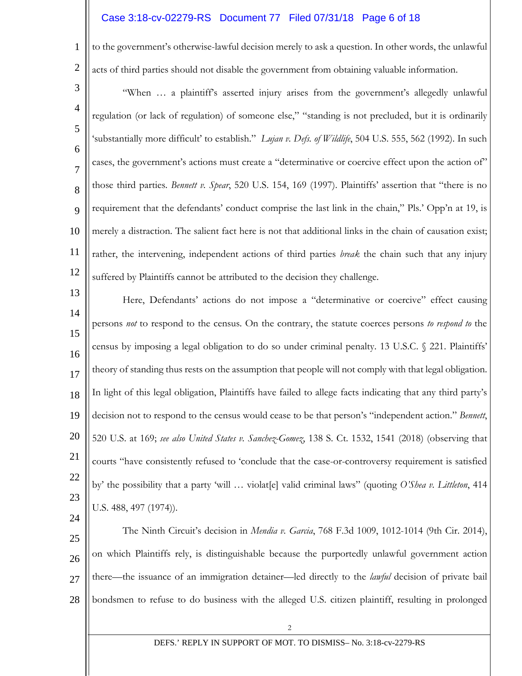## Case 3:18-cv-02279-RS Document 77 Filed 07/31/18 Page 6 of 18

1 2 to the government's otherwise-lawful decision merely to ask a question. In other words, the unlawful acts of third parties should not disable the government from obtaining valuable information.

3 4 5 6 7 8 9 10 11 12 "When … a plaintiff's asserted injury arises from the government's allegedly unlawful regulation (or lack of regulation) of someone else," "standing is not precluded, but it is ordinarily 'substantially more difficult' to establish." *Lujan v. Defs. of Wildlife*, 504 U.S. 555, 562 (1992). In such cases, the government's actions must create a "determinative or coercive effect upon the action of" those third parties. *Bennett v. Spear*, 520 U.S. 154, 169 (1997). Plaintiffs' assertion that "there is no requirement that the defendants' conduct comprise the last link in the chain," Pls.' Opp'n at 19, is merely a distraction. The salient fact here is not that additional links in the chain of causation exist; rather, the intervening, independent actions of third parties *break* the chain such that any injury suffered by Plaintiffs cannot be attributed to the decision they challenge.

13 14 15 16 17 18 19 20 21 22 23 24 Here, Defendants' actions do not impose a "determinative or coercive" effect causing persons *not* to respond to the census. On the contrary, the statute coerces persons *to respond to* the census by imposing a legal obligation to do so under criminal penalty. 13 U.S.C. § 221. Plaintiffs' theory of standing thus rests on the assumption that people will not comply with that legal obligation. In light of this legal obligation, Plaintiffs have failed to allege facts indicating that any third party's decision not to respond to the census would cease to be that person's "independent action." *Bennett*, 520 U.S. at 169; *see also United States v. Sanchez-Gomez*, 138 S. Ct. 1532, 1541 (2018) (observing that courts "have consistently refused to 'conclude that the case-or-controversy requirement is satisfied by' the possibility that a party 'will … violat[e] valid criminal laws" (quoting *O'Shea v. Littleton*, 414 U.S. 488, 497 (1974)).

25 26 27 28 The Ninth Circuit's decision in *Mendia v. Garcia*, 768 F.3d 1009, 1012-1014 (9th Cir. 2014), on which Plaintiffs rely, is distinguishable because the purportedly unlawful government action there—the issuance of an immigration detainer—led directly to the *lawful* decision of private bail bondsmen to refuse to do business with the alleged U.S. citizen plaintiff, resulting in prolonged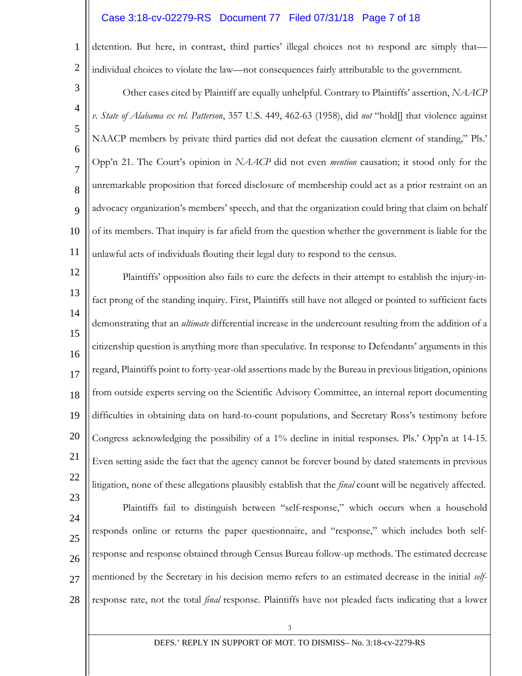### Case 3:18-cv-02279-RS Document 77 Filed 07/31/18 Page 7 of 18

1 2 detention. But here, in contrast, third parties' illegal choices not to respond are simply that individual choices to violate the law—not consequences fairly attributable to the government.

3 4 5 6 7 8  $\mathbf Q$ 10 11 Other cases cited by Plaintiff are equally unhelpful. Contrary to Plaintiffs' assertion, *NAACP v. State of Alabama ex rel. Patterson*, 357 U.S. 449, 462-63 (1958), did *not* "hold[] that violence against NAACP members by private third parties did not defeat the causation element of standing," Pls.' Opp'n 21. The Court's opinion in *NAACP* did not even *mention* causation; it stood only for the unremarkable proposition that forced disclosure of membership could act as a prior restraint on an advocacy organization's members' speech, and that the organization could bring that claim on behalf of its members. That inquiry is far afield from the question whether the government is liable for the unlawful acts of individuals flouting their legal duty to respond to the census.

12 13 14 15 16 17 18 19 20 21 22 23 24 25 26 27 Plaintiffs' opposition also fails to cure the defects in their attempt to establish the injury-infact prong of the standing inquiry. First, Plaintiffs still have not alleged or pointed to sufficient facts demonstrating that an *ultimate* differential increase in the undercount resulting from the addition of a citizenship question is anything more than speculative. In response to Defendants' arguments in this regard, Plaintiffs point to forty-year-old assertions made by the Bureau in previous litigation, opinions from outside experts serving on the Scientific Advisory Committee, an internal report documenting difficulties in obtaining data on hard-to-count populations, and Secretary Ross's testimony before Congress acknowledging the possibility of a 1% decline in initial responses. Pls.' Opp'n at 14-15. Even setting aside the fact that the agency cannot be forever bound by dated statements in previous litigation, none of these allegations plausibly establish that the *final* count will be negatively affected. Plaintiffs fail to distinguish between "self-response," which occurs when a household responds online or returns the paper questionnaire, and "response," which includes both selfresponse and response obtained through Census Bureau follow-up methods. The estimated decrease mentioned by the Secretary in his decision memo refers to an estimated decrease in the initial *self*-

28 response rate, not the total *final* response. Plaintiffs have not pleaded facts indicating that a lower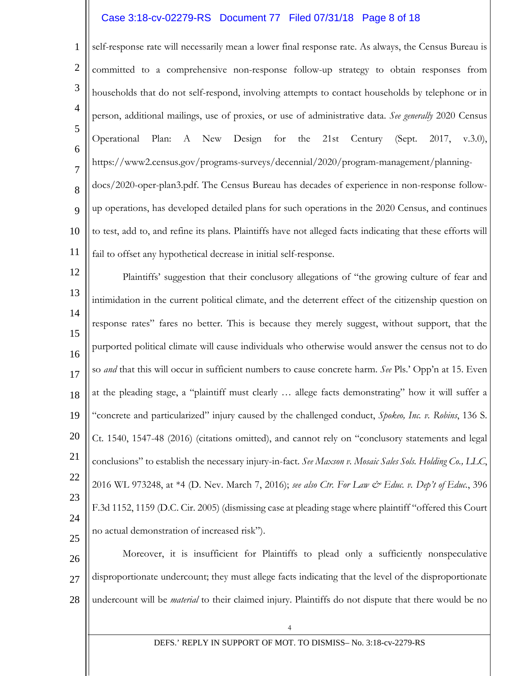### Case 3:18-cv-02279-RS Document 77 Filed 07/31/18 Page 8 of 18

1 2 3 4 5 6 7 8 9 10 11 self-response rate will necessarily mean a lower final response rate. As always, the Census Bureau is committed to a comprehensive non-response follow-up strategy to obtain responses from households that do not self-respond, involving attempts to contact households by telephone or in person, additional mailings, use of proxies, or use of administrative data. *See generally* 2020 Census Operational Plan: A New Design for the 21st Century (Sept. 2017, v.3.0), https://www2.census.gov/programs-surveys/decennial/2020/program-management/planningdocs/2020-oper-plan3.pdf. The Census Bureau has decades of experience in non-response followup operations, has developed detailed plans for such operations in the 2020 Census, and continues to test, add to, and refine its plans. Plaintiffs have not alleged facts indicating that these efforts will fail to offset any hypothetical decrease in initial self-response.

12 13 14 15 16 17 18 19 20 21 22 23 24 25 Plaintiffs' suggestion that their conclusory allegations of "the growing culture of fear and intimidation in the current political climate, and the deterrent effect of the citizenship question on response rates" fares no better. This is because they merely suggest, without support, that the purported political climate will cause individuals who otherwise would answer the census not to do so *and* that this will occur in sufficient numbers to cause concrete harm. *See* Pls.' Opp'n at 15. Even at the pleading stage, a "plaintiff must clearly … allege facts demonstrating" how it will suffer a "concrete and particularized" injury caused by the challenged conduct, *Spokeo, Inc. v. Robins*, 136 S. Ct. 1540, 1547-48 (2016) (citations omitted), and cannot rely on "conclusory statements and legal conclusions" to establish the necessary injury-in-fact. *See Maxson v. Mosaic Sales Sols. Holding Co., LLC*, 2016 WL 973248, at \*4 (D. Nev. March 7, 2016); *see also Ctr. For Law & Educ. v. Dep't of Educ.*, 396 F.3d 1152, 1159 (D.C. Cir. 2005) (dismissing case at pleading stage where plaintiff "offered this Court no actual demonstration of increased risk").

26 27 28 Moreover, it is insufficient for Plaintiffs to plead only a sufficiently nonspeculative disproportionate undercount; they must allege facts indicating that the level of the disproportionate undercount will be *material* to their claimed injury. Plaintiffs do not dispute that there would be no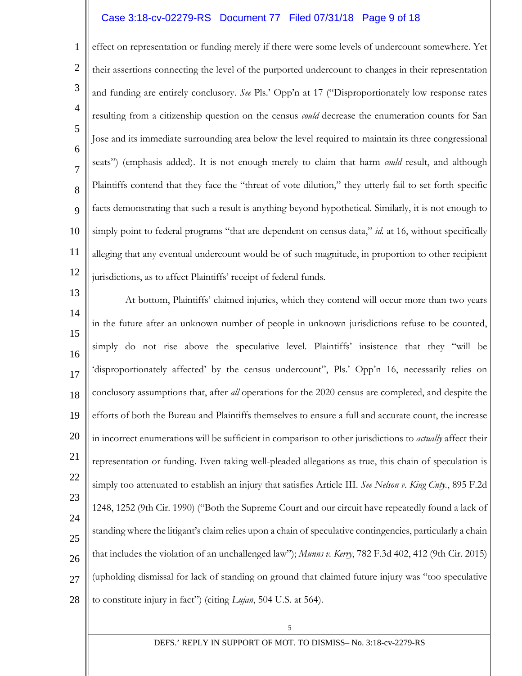### Case 3:18-cv-02279-RS Document 77 Filed 07/31/18 Page 9 of 18

1 2 3 4 5 6 7 8 9 10 11 12 effect on representation or funding merely if there were some levels of undercount somewhere. Yet their assertions connecting the level of the purported undercount to changes in their representation and funding are entirely conclusory. *See* Pls.' Opp'n at 17 ("Disproportionately low response rates resulting from a citizenship question on the census *could* decrease the enumeration counts for San Jose and its immediate surrounding area below the level required to maintain its three congressional seats") (emphasis added). It is not enough merely to claim that harm *could* result, and although Plaintiffs contend that they face the "threat of vote dilution," they utterly fail to set forth specific facts demonstrating that such a result is anything beyond hypothetical. Similarly, it is not enough to simply point to federal programs "that are dependent on census data," *id.* at 16, without specifically alleging that any eventual undercount would be of such magnitude, in proportion to other recipient jurisdictions, as to affect Plaintiffs' receipt of federal funds.

13 14 15 16 17 18 19 20 21 22 23 24 25 26 27 28 At bottom, Plaintiffs' claimed injuries, which they contend will occur more than two years in the future after an unknown number of people in unknown jurisdictions refuse to be counted, simply do not rise above the speculative level. Plaintiffs' insistence that they "will be 'disproportionately affected' by the census undercount", Pls.' Opp'n 16, necessarily relies on conclusory assumptions that, after *all* operations for the 2020 census are completed, and despite the efforts of both the Bureau and Plaintiffs themselves to ensure a full and accurate count, the increase in incorrect enumerations will be sufficient in comparison to other jurisdictions to *actually* affect their representation or funding. Even taking well-pleaded allegations as true, this chain of speculation is simply too attenuated to establish an injury that satisfies Article III. *See Nelson v. King Cnty.*, 895 F.2d 1248, 1252 (9th Cir. 1990) ("Both the Supreme Court and our circuit have repeatedly found a lack of standing where the litigant's claim relies upon a chain of speculative contingencies, particularly a chain that includes the violation of an unchallenged law"); *Munns v. Kerry*, 782 F.3d 402, 412 (9th Cir. 2015) (upholding dismissal for lack of standing on ground that claimed future injury was "too speculative to constitute injury in fact") (citing *Lujan*, 504 U.S. at 564).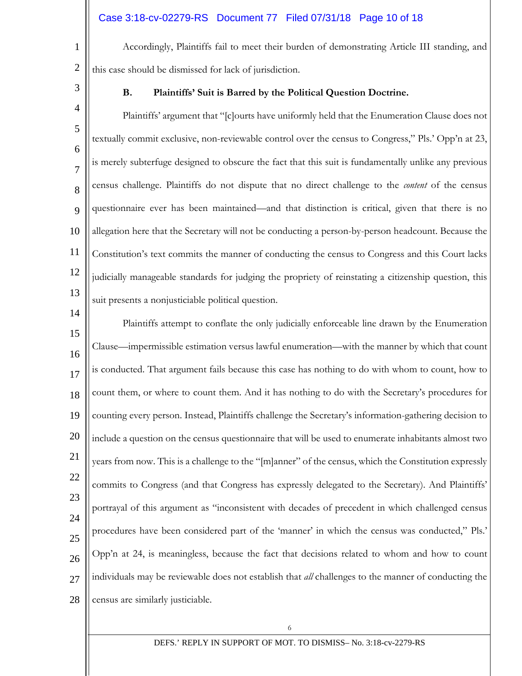# Case 3:18-cv-02279-RS Document 77 Filed 07/31/18 Page 10 of 18

Accordingly, Plaintiffs fail to meet their burden of demonstrating Article III standing, and this case should be dismissed for lack of jurisdiction.

3

4

14

1

2

## **B. Plaintiffs' Suit is Barred by the Political Question Doctrine.**

5 6 7 8 9 10 11 12 13 Plaintiffs' argument that "[c]ourts have uniformly held that the Enumeration Clause does not textually commit exclusive, non-reviewable control over the census to Congress," Pls.' Opp'n at 23, is merely subterfuge designed to obscure the fact that this suit is fundamentally unlike any previous census challenge. Plaintiffs do not dispute that no direct challenge to the *content* of the census questionnaire ever has been maintained—and that distinction is critical, given that there is no allegation here that the Secretary will not be conducting a person-by-person headcount. Because the Constitution's text commits the manner of conducting the census to Congress and this Court lacks judicially manageable standards for judging the propriety of reinstating a citizenship question, this suit presents a nonjusticiable political question.

15 16 17 18 19 20 21 22 23 24 25 26 27 28 Plaintiffs attempt to conflate the only judicially enforceable line drawn by the Enumeration Clause—impermissible estimation versus lawful enumeration—with the manner by which that count is conducted. That argument fails because this case has nothing to do with whom to count, how to count them, or where to count them. And it has nothing to do with the Secretary's procedures for counting every person. Instead, Plaintiffs challenge the Secretary's information-gathering decision to include a question on the census questionnaire that will be used to enumerate inhabitants almost two years from now. This is a challenge to the "[m]anner" of the census, which the Constitution expressly commits to Congress (and that Congress has expressly delegated to the Secretary). And Plaintiffs' portrayal of this argument as "inconsistent with decades of precedent in which challenged census procedures have been considered part of the 'manner' in which the census was conducted," Pls.' Opp'n at 24, is meaningless, because the fact that decisions related to whom and how to count individuals may be reviewable does not establish that *all* challenges to the manner of conducting the census are similarly justiciable.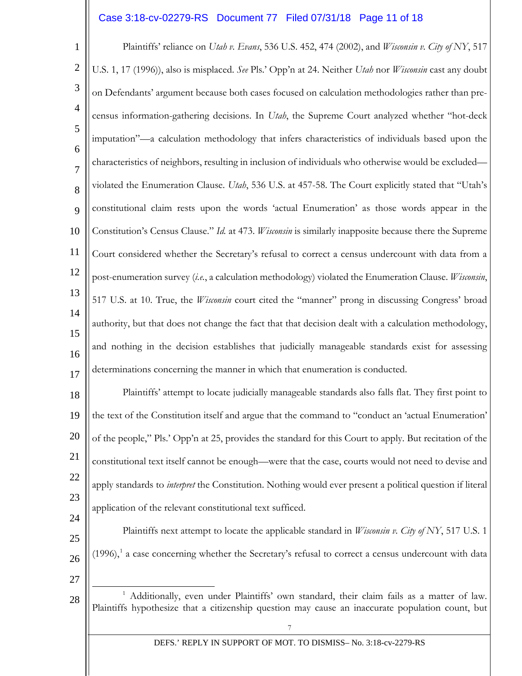## Case 3:18-cv-02279-RS Document 77 Filed 07/31/18 Page 11 of 18

1 2 3 4 5 6 7 8  $\mathbf Q$ 10 11 12 13 14 15 16 17 18 19 20 21 22 Plaintiffs' reliance on *Utah v. Evans*, 536 U.S. 452, 474 (2002), and *Wisconsin v. City of NY*, 517 U.S. 1, 17 (1996)), also is misplaced. *See* Pls.' Opp'n at 24. Neither *Utah* nor *Wisconsin* cast any doubt on Defendants' argument because both cases focused on calculation methodologies rather than precensus information-gathering decisions. In *Utah*, the Supreme Court analyzed whether "hot-deck imputation"—a calculation methodology that infers characteristics of individuals based upon the characteristics of neighbors, resulting in inclusion of individuals who otherwise would be excluded violated the Enumeration Clause. *Utah*, 536 U.S. at 457-58. The Court explicitly stated that "Utah's constitutional claim rests upon the words 'actual Enumeration' as those words appear in the Constitution's Census Clause." *Id.* at 473. *Wisconsin* is similarly inapposite because there the Supreme Court considered whether the Secretary's refusal to correct a census undercount with data from a post-enumeration survey (*i.e.*, a calculation methodology) violated the Enumeration Clause. *Wisconsin*, 517 U.S. at 10. True, the *Wisconsin* court cited the "manner" prong in discussing Congress' broad authority, but that does not change the fact that that decision dealt with a calculation methodology, and nothing in the decision establishes that judicially manageable standards exist for assessing determinations concerning the manner in which that enumeration is conducted. Plaintiffs' attempt to locate judicially manageable standards also falls flat. They first point to the text of the Constitution itself and argue that the command to "conduct an 'actual Enumeration' of the people," Pls.' Opp'n at 25, provides the standard for this Court to apply. But recitation of the constitutional text itself cannot be enough—were that the case, courts would not need to devise and apply standards to *interpret* the Constitution. Nothing would ever present a political question if literal

23 application of the relevant constitutional text sufficed.

- 25 26 Plaintiffs next attempt to locate the applicable standard in *Wisconsin v. City of NY*, 517 U.S. 1  $(1996)$  $(1996)$  $(1996)$ <sup>1</sup> a case concerning whether the Secretary's refusal to correct a census undercount with data
- 27

<span id="page-10-0"></span>28

24

#### DEFS.' REPLY IN SUPPORT OF MOT. TO DISMISS– No. 3:18-cv-2279-RS

<sup>&</sup>lt;sup>1</sup> Additionally, even under Plaintiffs' own standard, their claim fails as a matter of law. Plaintiffs hypothesize that a citizenship question may cause an inaccurate population count, but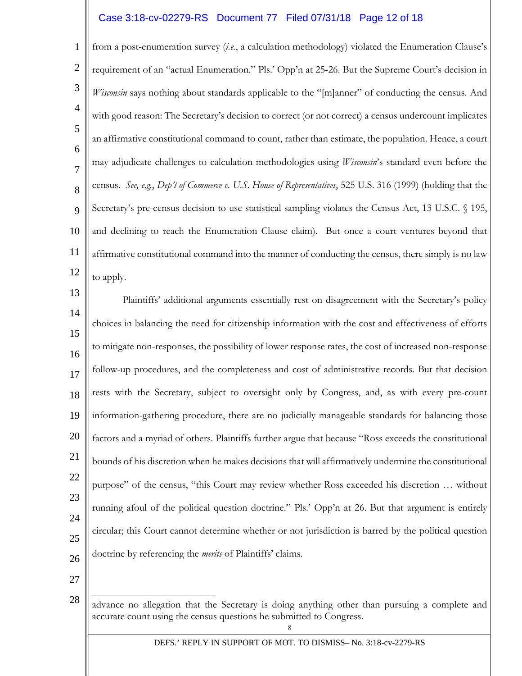## Case 3:18-cv-02279-RS Document 77 Filed 07/31/18 Page 12 of 18

1 2 3 4 5 6 7 8 9 10 11 12 from a post-enumeration survey (*i.e.*, a calculation methodology) violated the Enumeration Clause's requirement of an "actual Enumeration." Pls.' Opp'n at 25-26. But the Supreme Court's decision in *Wisconsin* says nothing about standards applicable to the "[m]anner" of conducting the census. And with good reason: The Secretary's decision to correct (or not correct) a census undercount implicates an affirmative constitutional command to count, rather than estimate, the population. Hence, a court may adjudicate challenges to calculation methodologies using *Wisconsin*'s standard even before the census. *See, e.g.*, *Dep't of Commerce v. U.S. House of Representatives*, 525 U.S. 316 (1999) (holding that the Secretary's pre-census decision to use statistical sampling violates the Census Act, 13 U.S.C. § 195, and declining to reach the Enumeration Clause claim). But once a court ventures beyond that affirmative constitutional command into the manner of conducting the census, there simply is no law to apply.

13 14 15 16 17 18 19 20 21 22 23 24 25 26 Plaintiffs' additional arguments essentially rest on disagreement with the Secretary's policy choices in balancing the need for citizenship information with the cost and effectiveness of efforts to mitigate non-responses, the possibility of lower response rates, the cost of increased non-response follow-up procedures, and the completeness and cost of administrative records. But that decision rests with the Secretary, subject to oversight only by Congress, and, as with every pre-count information-gathering procedure, there are no judicially manageable standards for balancing those factors and a myriad of others. Plaintiffs further argue that because "Ross exceeds the constitutional bounds of his discretion when he makes decisions that will affirmatively undermine the constitutional purpose" of the census, "this Court may review whether Ross exceeded his discretion … without running afoul of the political question doctrine." Pls.' Opp'n at 26. But that argument is entirely circular; this Court cannot determine whether or not jurisdiction is barred by the political question doctrine by referencing the *merits* of Plaintiffs' claims.

27

<sup>28</sup> Ξ advance no allegation that the Secretary is doing anything other than pursuing a complete and accurate count using the census questions he submitted to Congress.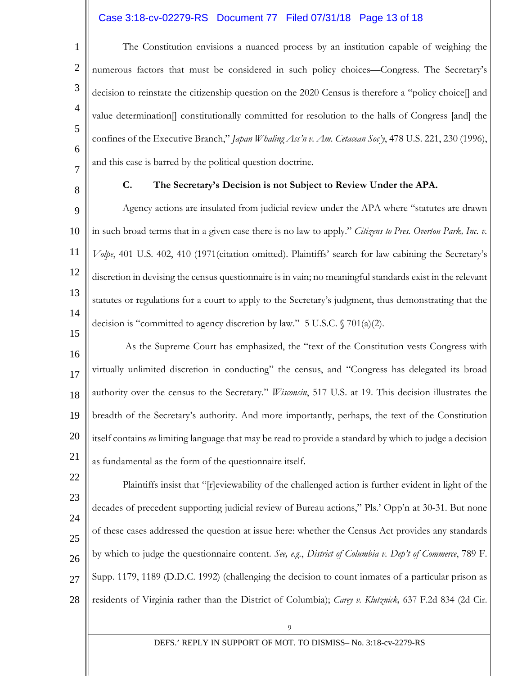# Case 3:18-cv-02279-RS Document 77 Filed 07/31/18 Page 13 of 18

1 2 3 4 5 6 7 The Constitution envisions a nuanced process by an institution capable of weighing the numerous factors that must be considered in such policy choices—Congress. The Secretary's decision to reinstate the citizenship question on the 2020 Census is therefore a "policy choice[] and value determination[] constitutionally committed for resolution to the halls of Congress [and] the confines of the Executive Branch," *Japan Whaling Ass'n v. Am. Cetacean Soc'y*, 478 U.S. 221, 230 (1996), and this case is barred by the political question doctrine.

8

#### **C. The Secretary's Decision is not Subject to Review Under the APA.**

9 10 11 12 13 14 15 Agency actions are insulated from judicial review under the APA where "statutes are drawn in such broad terms that in a given case there is no law to apply." *Citizens to Pres. Overton Park, Inc. v. Volpe*, 401 U.S. 402, 410 (1971(citation omitted). Plaintiffs' search for law cabining the Secretary's discretion in devising the census questionnaire is in vain; no meaningful standards exist in the relevant statutes or regulations for a court to apply to the Secretary's judgment, thus demonstrating that the decision is "committed to agency discretion by law." 5 U.S.C. § 701(a)(2).

16 17 18 19 20 21 As the Supreme Court has emphasized, the "text of the Constitution vests Congress with virtually unlimited discretion in conducting" the census, and "Congress has delegated its broad authority over the census to the Secretary." *Wisconsin*, 517 U.S. at 19. This decision illustrates the breadth of the Secretary's authority. And more importantly, perhaps, the text of the Constitution itself contains *no* limiting language that may be read to provide a standard by which to judge a decision as fundamental as the form of the questionnaire itself.

22 23 24 25 26 27 28 Plaintiffs insist that "[r]eviewability of the challenged action is further evident in light of the decades of precedent supporting judicial review of Bureau actions," Pls.' Opp'n at 30-31. But none of these cases addressed the question at issue here: whether the Census Act provides any standards by which to judge the questionnaire content. *See, e.g.*, *District of Columbia v. Dep't of Commerce*, 789 F. Supp. 1179, 1189 (D.D.C. 1992) (challenging the decision to count inmates of a particular prison as residents of Virginia rather than the District of Columbia); *Carey v. Klutznick,* 637 F.2d 834 (2d Cir.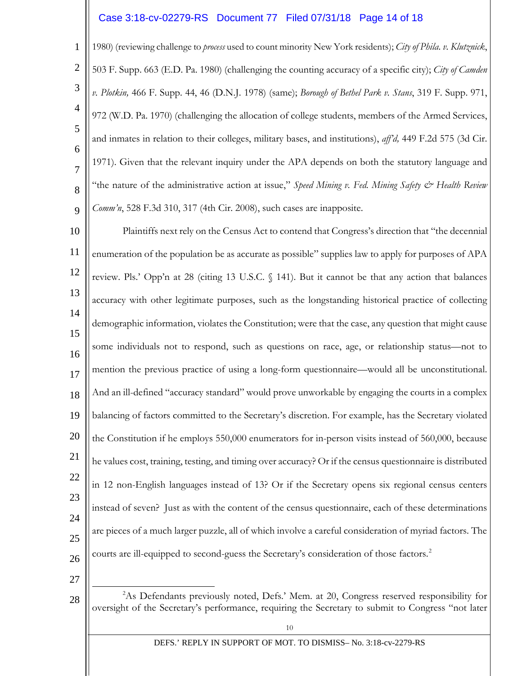## Case 3:18-cv-02279-RS Document 77 Filed 07/31/18 Page 14 of 18

1 2 3 4 5 6 7 8 9 1980) (reviewing challenge to *process* used to count minority New York residents); *City of Phila. v. Klutznick*, 503 F. Supp. 663 (E.D. Pa. 1980) (challenging the counting accuracy of a specific city); *City of Camden v. Plotkin,* 466 F. Supp. 44, 46 (D.N.J. 1978) (same); *Borough of Bethel Park v. Stans*, 319 F. Supp. 971, 972 (W.D. Pa. 1970) (challenging the allocation of college students, members of the Armed Services, and inmates in relation to their colleges, military bases, and institutions), *aff'd,* 449 F.2d 575 (3d Cir. 1971). Given that the relevant inquiry under the APA depends on both the statutory language and "the nature of the administrative action at issue," *Speed Mining v. Fed. Mining Safety & Health Review Comm'n*, 528 F.3d 310, 317 (4th Cir. 2008), such cases are inapposite.

10 11 12 13 14 15 16 17 18 19 20 21 22 23 24 25 26 Plaintiffs next rely on the Census Act to contend that Congress's direction that "the decennial enumeration of the population be as accurate as possible" supplies law to apply for purposes of APA review. Pls.' Opp'n at 28 (citing 13 U.S.C. § 141). But it cannot be that any action that balances accuracy with other legitimate purposes, such as the longstanding historical practice of collecting demographic information, violates the Constitution; were that the case, any question that might cause some individuals not to respond, such as questions on race, age, or relationship status—not to mention the previous practice of using a long-form questionnaire—would all be unconstitutional. And an ill-defined "accuracy standard" would prove unworkable by engaging the courts in a complex balancing of factors committed to the Secretary's discretion. For example, has the Secretary violated the Constitution if he employs 550,000 enumerators for in-person visits instead of 560,000, because he values cost, training, testing, and timing over accuracy? Or if the census questionnaire is distributed in 12 non-English languages instead of 13? Or if the Secretary opens six regional census centers instead of seven? Just as with the content of the census questionnaire, each of these determinations are pieces of a much larger puzzle, all of which involve a careful consideration of myriad factors. The courts are ill-equipped to second-guess the Secretary's consideration of those factors. [2](#page-13-0)

27

<span id="page-13-0"></span>28

 $\overline{\phantom{a}}$ <sup>2</sup>As Defendants previously noted, Defs.' Mem. at 20, Congress reserved responsibility for oversight of the Secretary's performance, requiring the Secretary to submit to Congress "not later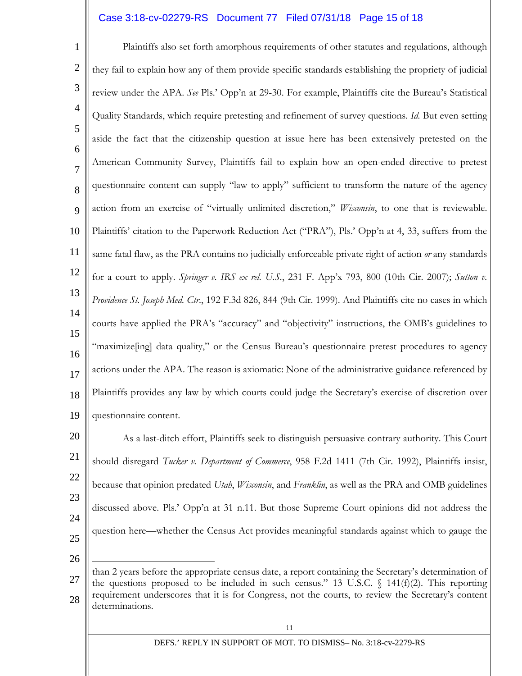# Case 3:18-cv-02279-RS Document 77 Filed 07/31/18 Page 15 of 18

1 2 3 4 5 6 7 8  $\mathbf Q$ 10 11 12 13 14 15 16 17 18 19 Plaintiffs also set forth amorphous requirements of other statutes and regulations, although they fail to explain how any of them provide specific standards establishing the propriety of judicial review under the APA. *See* Pls.' Opp'n at 29-30. For example, Plaintiffs cite the Bureau's Statistical Quality Standards, which require pretesting and refinement of survey questions. *Id.* But even setting aside the fact that the citizenship question at issue here has been extensively pretested on the American Community Survey, Plaintiffs fail to explain how an open-ended directive to pretest questionnaire content can supply "law to apply" sufficient to transform the nature of the agency action from an exercise of "virtually unlimited discretion," *Wisconsin*, to one that is reviewable. Plaintiffs' citation to the Paperwork Reduction Act ("PRA"), Pls.' Opp'n at 4, 33, suffers from the same fatal flaw, as the PRA contains no judicially enforceable private right of action *or* any standards for a court to apply. *Springer v. IRS ex rel. U.S.*, 231 F. App'x 793, 800 (10th Cir. 2007); *Sutton v. Providence St. Joseph Med. Ctr*., 192 F.3d 826, 844 (9th Cir. 1999). And Plaintiffs cite no cases in which courts have applied the PRA's "accuracy" and "objectivity" instructions, the OMB's guidelines to "maximize[ing] data quality," or the Census Bureau's questionnaire pretest procedures to agency actions under the APA. The reason is axiomatic: None of the administrative guidance referenced by Plaintiffs provides any law by which courts could judge the Secretary's exercise of discretion over questionnaire content.

20 21 22 23 24 25 As a last-ditch effort, Plaintiffs seek to distinguish persuasive contrary authority. This Court should disregard *Tucker v. Department of Commerce*, 958 F.2d 1411 (7th Cir. 1992), Plaintiffs insist, because that opinion predated *Utah*, *Wisconsin*, and *Franklin*, as well as the PRA and OMB guidelines discussed above. Pls.' Opp'n at 31 n.11. But those Supreme Court opinions did not address the question here—whether the Census Act provides meaningful standards against which to gauge the

26

27 28 Ξ than 2 years before the appropriate census date, a report containing the Secretary's determination of the questions proposed to be included in such census." 13 U.S.C.  $\oint$  141(f)(2). This reporting requirement underscores that it is for Congress, not the courts, to review the Secretary's content determinations.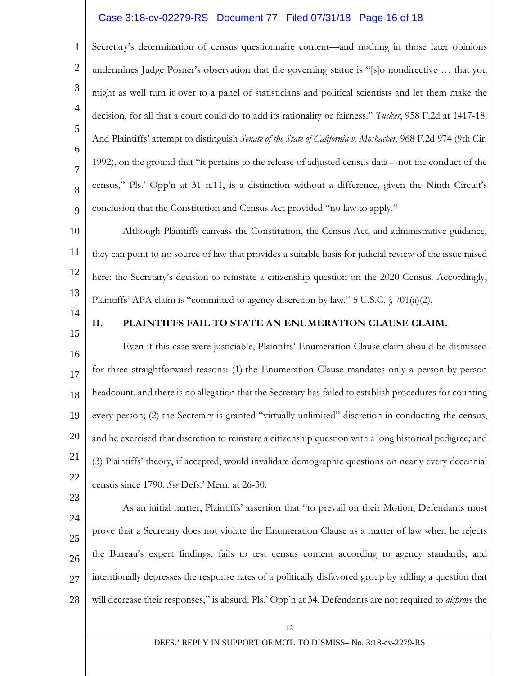# Case 3:18-cv-02279-RS Document 77 Filed 07/31/18 Page 16 of 18

1 2 3 4 5 6 7 8 9 Secretary's determination of census questionnaire content—and nothing in those later opinions undermines Judge Posner's observation that the governing statue is "[s]o nondirective … that you might as well turn it over to a panel of statisticians and political scientists and let them make the decision, for all that a court could do to add its rationality or fairness." *Tucker*, 958 F.2d at 1417-18. And Plaintiffs' attempt to distinguish *Senate of the State of California v. Mosbacher*, 968 F.2d 974 (9th Cir. 1992), on the ground that "it pertains to the release of adjusted census data—not the conduct of the census," Pls.' Opp'n at 31 n.11, is a distinction without a difference, given the Ninth Circuit's conclusion that the Constitution and Census Act provided "no law to apply."

10 11 12 13 Although Plaintiffs canvass the Constitution, the Census Act, and administrative guidance, they can point to no source of law that provides a suitable basis for judicial review of the issue raised here: the Secretary's decision to reinstate a citizenship question on the 2020 Census. Accordingly, Plaintiffs' APA claim is "committed to agency discretion by law." 5 U.S.C. § 701(a)(2).

14 15

23

### **II. PLAINTIFFS FAIL TO STATE AN ENUMERATION CLAUSE CLAIM.**

16 17 18 19 20 21 22 Even if this case were justiciable, Plaintiffs' Enumeration Clause claim should be dismissed for three straightforward reasons: (1) the Enumeration Clause mandates only a person-by-person headcount, and there is no allegation that the Secretary has failed to establish procedures for counting every person; (2) the Secretary is granted "virtually unlimited" discretion in conducting the census, and he exercised that discretion to reinstate a citizenship question with a long historical pedigree; and (3) Plaintiffs' theory, if accepted, would invalidate demographic questions on nearly every decennial census since 1790. *See* Defs.' Mem. at 26-30.

24 25 26 27 28 As an initial matter, Plaintiffs' assertion that "to prevail on their Motion, Defendants must prove that a Secretary does not violate the Enumeration Clause as a matter of law when he rejects the Bureau's expert findings, fails to test census content according to agency standards, and intentionally depresses the response rates of a politically disfavored group by adding a question that will decrease their responses," is absurd. Pls.' Opp'n at 34. Defendants are not required to *disprove* the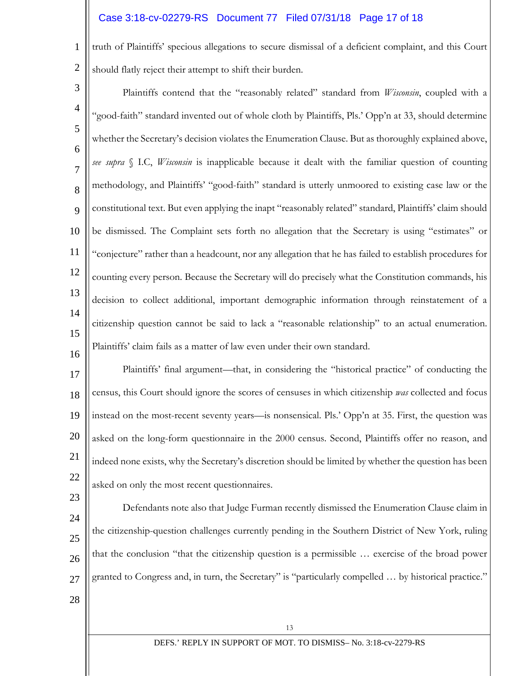# Case 3:18-cv-02279-RS Document 77 Filed 07/31/18 Page 17 of 18

1 2 truth of Plaintiffs' specious allegations to secure dismissal of a deficient complaint, and this Court should flatly reject their attempt to shift their burden.

- 3 4 5 6 7 8 9 10 11 12 13 14 15 Plaintiffs contend that the "reasonably related" standard from *Wisconsin*, coupled with a "good-faith" standard invented out of whole cloth by Plaintiffs, Pls.' Opp'n at 33, should determine whether the Secretary's decision violates the Enumeration Clause. But as thoroughly explained above, *see supra* § I.C, *Wisconsin* is inapplicable because it dealt with the familiar question of counting methodology, and Plaintiffs' "good-faith" standard is utterly unmoored to existing case law or the constitutional text. But even applying the inapt "reasonably related" standard, Plaintiffs' claim should be dismissed. The Complaint sets forth no allegation that the Secretary is using "estimates" or "conjecture" rather than a headcount, nor any allegation that he has failed to establish procedures for counting every person. Because the Secretary will do precisely what the Constitution commands, his decision to collect additional, important demographic information through reinstatement of a citizenship question cannot be said to lack a "reasonable relationship" to an actual enumeration. Plaintiffs' claim fails as a matter of law even under their own standard.
- 17 18 19 20 21 22 Plaintiffs' final argument—that, in considering the "historical practice" of conducting the census, this Court should ignore the scores of censuses in which citizenship *was* collected and focus instead on the most-recent seventy years—is nonsensical. Pls.' Opp'n at 35. First, the question was asked on the long-form questionnaire in the 2000 census. Second, Plaintiffs offer no reason, and indeed none exists, why the Secretary's discretion should be limited by whether the question has been asked on only the most recent questionnaires.
- 24 25 26 27 Defendants note also that Judge Furman recently dismissed the Enumeration Clause claim in the citizenship-question challenges currently pending in the Southern District of New York, ruling that the conclusion "that the citizenship question is a permissible … exercise of the broad power granted to Congress and, in turn, the Secretary" is "particularly compelled … by historical practice."
- 28

23

16

13